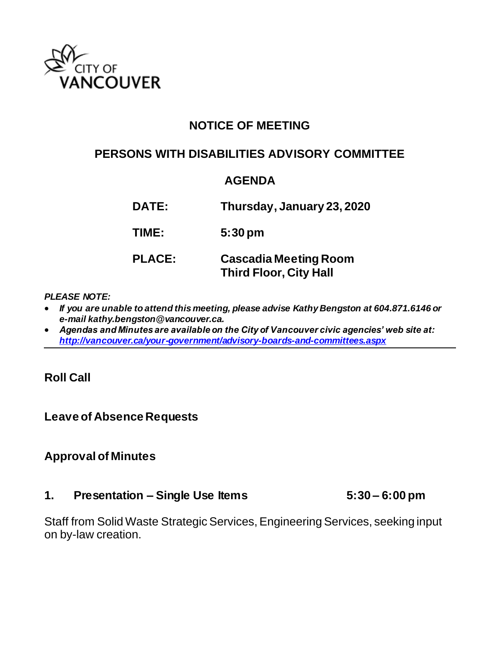

# **NOTICE OF MEETING**

## **PERSONS WITH DISABILITIES ADVISORY COMMITTEE**

## **AGENDA**

| <b>DATE:</b>  | Thursday, January 23, 2020                                    |  |
|---------------|---------------------------------------------------------------|--|
| TIME:         | $5:30 \text{ pm}$                                             |  |
| <b>PLACE:</b> | <b>Cascadia Meeting Room</b><br><b>Third Floor, City Hall</b> |  |

#### *PLEASE NOTE:*

- *If you are unable to attend this meeting, please advise Kathy Bengston at 604.871.6146 or e-mail kathy.bengston@vancouver.ca.*
- *Agendas and Minutes are available on the City of Vancouver civic agencies' web site at: <http://vancouver.ca/your-government/advisory-boards-and-committees.aspx>*

### **Roll Call**

### **Leave of Absence Requests**

### **Approval of Minutes**

#### **1. Presentation – Single Use Items 5:30 – 6:00 pm**

Staff from Solid Waste Strategic Services, Engineering Services, seeking input on by-law creation.